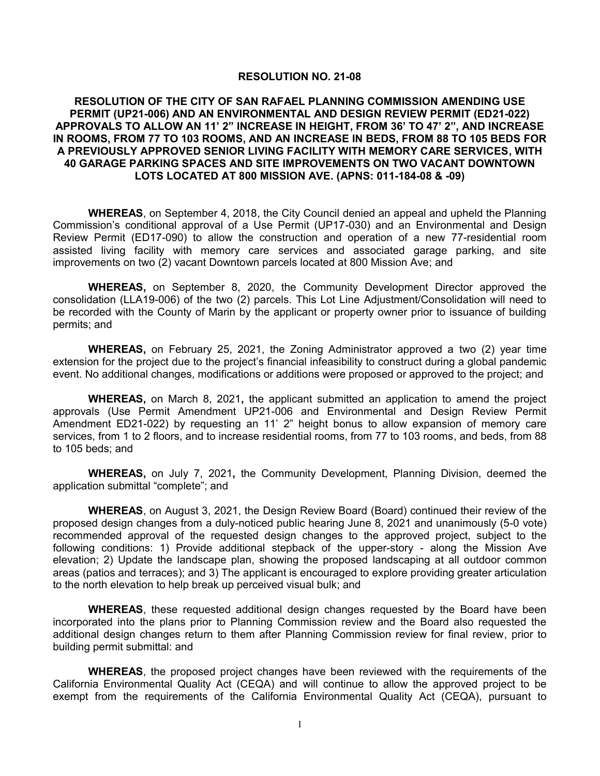#### **RESOLUTION NO. 21-08**

#### **RESOLUTION OF THE CITY OF SAN RAFAEL PLANNING COMMISSION AMENDING USE PERMIT (UP21-006) AND AN ENVIRONMENTAL AND DESIGN REVIEW PERMIT (ED21-022) APPROVALS TO ALLOW AN 11' 2" INCREASE IN HEIGHT, FROM 36' TO 47' 2", AND INCREASE IN ROOMS, FROM 77 TO 103 ROOMS, AND AN INCREASE IN BEDS, FROM 88 TO 105 BEDS FOR A PREVIOUSLY APPROVED SENIOR LIVING FACILITY WITH MEMORY CARE SERVICES, WITH 40 GARAGE PARKING SPACES AND SITE IMPROVEMENTS ON TWO VACANT DOWNTOWN LOTS LOCATED AT 800 MISSION AVE. (APNS: 011-184-08 & -09)**

**WHEREAS**, on September 4, 2018, the City Council denied an appeal and upheld the Planning Commission's conditional approval of a Use Permit (UP17-030) and an Environmental and Design Review Permit (ED17-090) to allow the construction and operation of a new 77-residential room assisted living facility with memory care services and associated garage parking, and site improvements on two (2) vacant Downtown parcels located at 800 Mission Ave; and

**WHEREAS,** on September 8, 2020, the Community Development Director approved the consolidation (LLA19-006) of the two (2) parcels. This Lot Line Adjustment/Consolidation will need to be recorded with the County of Marin by the applicant or property owner prior to issuance of building permits; and

**WHEREAS,** on February 25, 2021, the Zoning Administrator approved a two (2) year time extension for the project due to the project's financial infeasibility to construct during a global pandemic event. No additional changes, modifications or additions were proposed or approved to the project; and

**WHEREAS,** on March 8, 2021**,** the applicant submitted an application to amend the project approvals (Use Permit Amendment UP21-006 and Environmental and Design Review Permit Amendment ED21-022) by requesting an 11' 2" height bonus to allow expansion of memory care services, from 1 to 2 floors, and to increase residential rooms, from 77 to 103 rooms, and beds, from 88 to 105 beds; and

**WHEREAS,** on July 7, 2021**,** the Community Development, Planning Division, deemed the application submittal "complete"; and

**WHEREAS**, on August 3, 2021, the Design Review Board (Board) continued their review of the proposed design changes from a duly-noticed public hearing June 8, 2021 and unanimously (5-0 vote) recommended approval of the requested design changes to the approved project, subject to the following conditions: 1) Provide additional stepback of the upper-story - along the Mission Ave elevation; 2) Update the landscape plan, showing the proposed landscaping at all outdoor common areas (patios and terraces); and 3) The applicant is encouraged to explore providing greater articulation to the north elevation to help break up perceived visual bulk; and

**WHEREAS**, these requested additional design changes requested by the Board have been incorporated into the plans prior to Planning Commission review and the Board also requested the additional design changes return to them after Planning Commission review for final review, prior to building permit submittal: and

**WHEREAS**, the proposed project changes have been reviewed with the requirements of the California Environmental Quality Act (CEQA) and will continue to allow the approved project to be exempt from the requirements of the California Environmental Quality Act (CEQA), pursuant to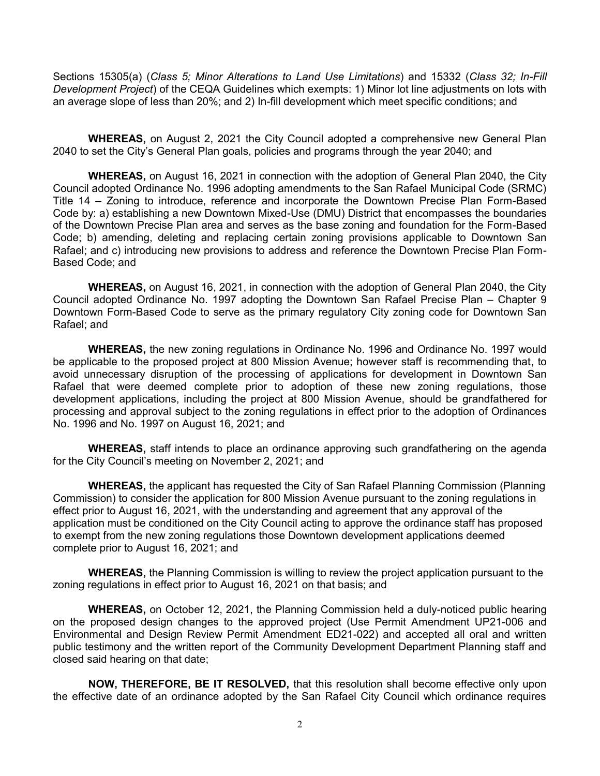Sections 15305(a) (*Class 5; Minor Alterations to Land Use Limitations*) and 15332 (*Class 32; In-Fill Development Project*) of the CEQA Guidelines which exempts: 1) Minor lot line adjustments on lots with an average slope of less than 20%; and 2) In-fill development which meet specific conditions; and

**WHEREAS,** on August 2, 2021 the City Council adopted a comprehensive new General Plan 2040 to set the City's General Plan goals, policies and programs through the year 2040; and

**WHEREAS,** on August 16, 2021 in connection with the adoption of General Plan 2040, the City Council adopted Ordinance No. 1996 adopting amendments to the San Rafael Municipal Code (SRMC) Title 14 – Zoning to introduce, reference and incorporate the Downtown Precise Plan Form-Based Code by: a) establishing a new Downtown Mixed-Use (DMU) District that encompasses the boundaries of the Downtown Precise Plan area and serves as the base zoning and foundation for the Form-Based Code; b) amending, deleting and replacing certain zoning provisions applicable to Downtown San Rafael; and c) introducing new provisions to address and reference the Downtown Precise Plan Form-Based Code; and

**WHEREAS,** on August 16, 2021, in connection with the adoption of General Plan 2040, the City Council adopted Ordinance No. 1997 adopting the Downtown San Rafael Precise Plan – Chapter 9 Downtown Form-Based Code to serve as the primary regulatory City zoning code for Downtown San Rafael; and

**WHEREAS,** the new zoning regulations in Ordinance No. 1996 and Ordinance No. 1997 would be applicable to the proposed project at 800 Mission Avenue; however staff is recommending that, to avoid unnecessary disruption of the processing of applications for development in Downtown San Rafael that were deemed complete prior to adoption of these new zoning regulations, those development applications, including the project at 800 Mission Avenue, should be grandfathered for processing and approval subject to the zoning regulations in effect prior to the adoption of Ordinances No. 1996 and No. 1997 on August 16, 2021; and

**WHEREAS,** staff intends to place an ordinance approving such grandfathering on the agenda for the City Council's meeting on November 2, 2021; and

**WHEREAS,** the applicant has requested the City of San Rafael Planning Commission (Planning Commission) to consider the application for 800 Mission Avenue pursuant to the zoning regulations in effect prior to August 16, 2021, with the understanding and agreement that any approval of the application must be conditioned on the City Council acting to approve the ordinance staff has proposed to exempt from the new zoning regulations those Downtown development applications deemed complete prior to August 16, 2021; and

 **WHEREAS,** the Planning Commission is willing to review the project application pursuant to the zoning regulations in effect prior to August 16, 2021 on that basis; and

**WHEREAS,** on October 12, 2021, the Planning Commission held a duly-noticed public hearing on the proposed design changes to the approved project (Use Permit Amendment UP21-006 and Environmental and Design Review Permit Amendment ED21-022) and accepted all oral and written public testimony and the written report of the Community Development Department Planning staff and closed said hearing on that date;

**NOW, THEREFORE, BE IT RESOLVED,** that this resolution shall become effective only upon the effective date of an ordinance adopted by the San Rafael City Council which ordinance requires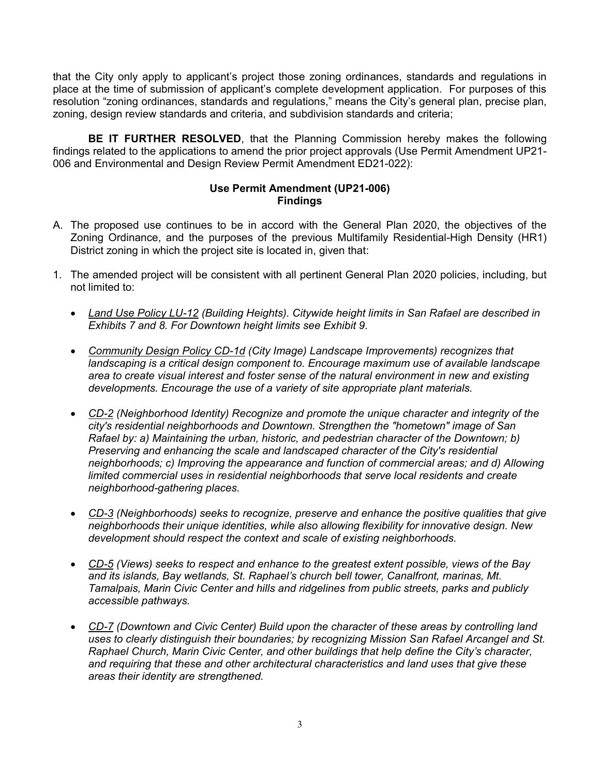that the City only apply to applicant's project those zoning ordinances, standards and regulations in place at the time of submission of applicant's complete development application. For purposes of this resolution "zoning ordinances, standards and regulations," means the City's general plan, precise plan, zoning, design review standards and criteria, and subdivision standards and criteria;

**BE IT FURTHER RESOLVED**, that the Planning Commission hereby makes the following findings related to the applications to amend the prior project approvals (Use Permit Amendment UP21- 006 and Environmental and Design Review Permit Amendment ED21-022):

#### **Use Permit Amendment (UP21-006) Findings**

- A. The proposed use continues to be in accord with the General Plan 2020, the objectives of the Zoning Ordinance, and the purposes of the previous Multifamily Residential-High Density (HR1) District zoning in which the project site is located in, given that:
- 1. The amended project will be consistent with all pertinent General Plan 2020 policies, including, but not limited to:
	- *Land Use Policy LU-12 (Building Heights). Citywide height limits in San Rafael are described in Exhibits 7 and 8. For Downtown height limits see Exhibit 9.*
	- *Community Design Policy CD-1d (City Image) Landscape Improvements) recognizes that landscaping is a critical design component to. Encourage maximum use of available landscape area to create visual interest and foster sense of the natural environment in new and existing developments. Encourage the use of a variety of site appropriate plant materials.*
	- *CD-2 (Neighborhood Identity) Recognize and promote the unique character and integrity of the city's residential neighborhoods and Downtown. Strengthen the "hometown" image of San Rafael by: a) Maintaining the urban, historic, and pedestrian character of the Downtown; b) Preserving and enhancing the scale and landscaped character of the City's residential neighborhoods; c) Improving the appearance and function of commercial areas; and d) Allowing*  limited commercial uses in residential neighborhoods that serve local residents and create *neighborhood-gathering places.*
	- *CD-3 (Neighborhoods) seeks to recognize, preserve and enhance the positive qualities that give neighborhoods their unique identities, while also allowing flexibility for innovative design. New development should respect the context and scale of existing neighborhoods.*
	- *CD-5 (Views) seeks to respect and enhance to the greatest extent possible, views of the Bay and its islands, Bay wetlands, St. Raphael's church bell tower, Canalfront, marinas, Mt. Tamalpais, Marin Civic Center and hills and ridgelines from public streets, parks and publicly accessible pathways.*
	- *CD-7 (Downtown and Civic Center) Build upon the character of these areas by controlling land uses to clearly distinguish their boundaries; by recognizing Mission San Rafael Arcangel and St. Raphael Church, Marin Civic Center, and other buildings that help define the City's character, and requiring that these and other architectural characteristics and land uses that give these areas their identity are strengthened.*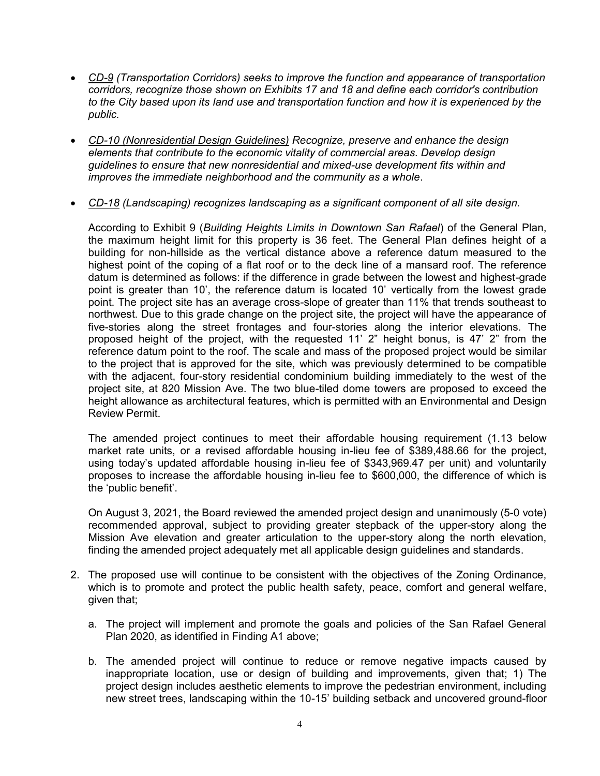- *CD-9 (Transportation Corridors) seeks to improve the function and appearance of transportation corridors, recognize those shown on Exhibits 17 and 18 and define each corridor's contribution to the City based upon its land use and transportation function and how it is experienced by the public.*
- *CD-10 (Nonresidential Design Guidelines) Recognize, preserve and enhance the design elements that contribute to the economic vitality of commercial areas. Develop design guidelines to ensure that new nonresidential and mixed-use development fits within and improves the immediate neighborhood and the community as a whole*.
- *CD-18 (Landscaping) recognizes landscaping as a significant component of all site design.*

According to Exhibit 9 (*Building Heights Limits in Downtown San Rafael*) of the General Plan, the maximum height limit for this property is 36 feet. The General Plan defines height of a building for non-hillside as the vertical distance above a reference datum measured to the highest point of the coping of a flat roof or to the deck line of a mansard roof. The reference datum is determined as follows: if the difference in grade between the lowest and highest-grade point is greater than 10', the reference datum is located 10' vertically from the lowest grade point. The project site has an average cross-slope of greater than 11% that trends southeast to northwest. Due to this grade change on the project site, the project will have the appearance of five-stories along the street frontages and four-stories along the interior elevations. The proposed height of the project, with the requested 11' 2" height bonus, is 47' 2" from the reference datum point to the roof. The scale and mass of the proposed project would be similar to the project that is approved for the site, which was previously determined to be compatible with the adjacent, four-story residential condominium building immediately to the west of the project site, at 820 Mission Ave. The two blue-tiled dome towers are proposed to exceed the height allowance as architectural features, which is permitted with an Environmental and Design Review Permit.

The amended project continues to meet their affordable housing requirement (1.13 below market rate units, or a revised affordable housing in-lieu fee of \$389,488.66 for the project, using today's updated affordable housing in-lieu fee of \$343,969.47 per unit) and voluntarily proposes to increase the affordable housing in-lieu fee to \$600,000, the difference of which is the 'public benefit'.

On August 3, 2021, the Board reviewed the amended project design and unanimously (5-0 vote) recommended approval, subject to providing greater stepback of the upper-story along the Mission Ave elevation and greater articulation to the upper-story along the north elevation, finding the amended project adequately met all applicable design guidelines and standards.

- 2. The proposed use will continue to be consistent with the objectives of the Zoning Ordinance, which is to promote and protect the public health safety, peace, comfort and general welfare, given that;
	- a. The project will implement and promote the goals and policies of the San Rafael General Plan 2020, as identified in Finding A1 above;
	- b. The amended project will continue to reduce or remove negative impacts caused by inappropriate location, use or design of building and improvements, given that; 1) The project design includes aesthetic elements to improve the pedestrian environment, including new street trees, landscaping within the 10-15' building setback and uncovered ground-floor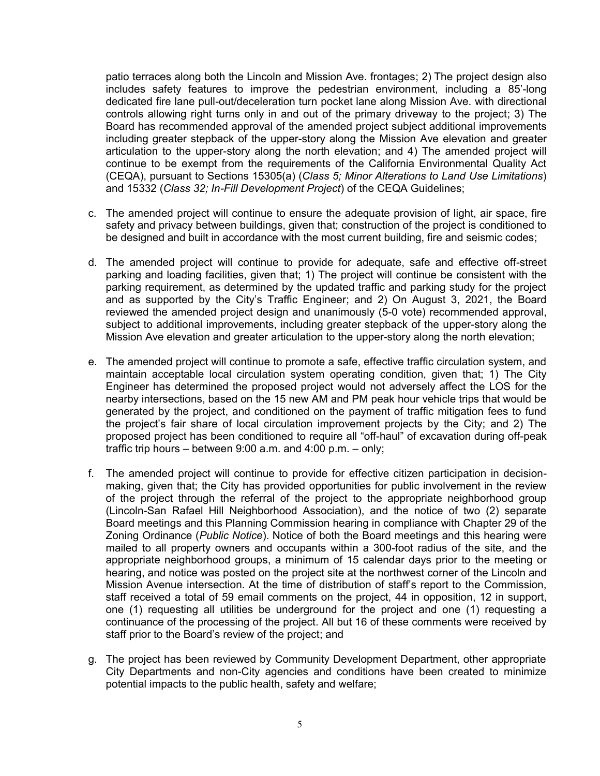patio terraces along both the Lincoln and Mission Ave. frontages; 2) The project design also includes safety features to improve the pedestrian environment, including a 85'-long dedicated fire lane pull-out/deceleration turn pocket lane along Mission Ave. with directional controls allowing right turns only in and out of the primary driveway to the project; 3) The Board has recommended approval of the amended project subject additional improvements including greater stepback of the upper-story along the Mission Ave elevation and greater articulation to the upper-story along the north elevation; and 4) The amended project will continue to be exempt from the requirements of the California Environmental Quality Act (CEQA), pursuant to Sections 15305(a) (*Class 5; Minor Alterations to Land Use Limitations*) and 15332 (*Class 32; In-Fill Development Project*) of the CEQA Guidelines;

- c. The amended project will continue to ensure the adequate provision of light, air space, fire safety and privacy between buildings, given that; construction of the project is conditioned to be designed and built in accordance with the most current building, fire and seismic codes;
- d. The amended project will continue to provide for adequate, safe and effective off-street parking and loading facilities, given that; 1) The project will continue be consistent with the parking requirement, as determined by the updated traffic and parking study for the project and as supported by the City's Traffic Engineer; and 2) On August 3, 2021, the Board reviewed the amended project design and unanimously (5-0 vote) recommended approval, subject to additional improvements, including greater stepback of the upper-story along the Mission Ave elevation and greater articulation to the upper-story along the north elevation;
- e. The amended project will continue to promote a safe, effective traffic circulation system, and maintain acceptable local circulation system operating condition, given that; 1) The City Engineer has determined the proposed project would not adversely affect the LOS for the nearby intersections, based on the 15 new AM and PM peak hour vehicle trips that would be generated by the project, and conditioned on the payment of traffic mitigation fees to fund the project's fair share of local circulation improvement projects by the City; and 2) The proposed project has been conditioned to require all "off-haul" of excavation during off-peak traffic trip hours – between 9:00 a.m. and 4:00 p.m. – only;
- f. The amended project will continue to provide for effective citizen participation in decisionmaking, given that; the City has provided opportunities for public involvement in the review of the project through the referral of the project to the appropriate neighborhood group (Lincoln-San Rafael Hill Neighborhood Association), and the notice of two (2) separate Board meetings and this Planning Commission hearing in compliance with Chapter 29 of the Zoning Ordinance (*Public Notice*). Notice of both the Board meetings and this hearing were mailed to all property owners and occupants within a 300-foot radius of the site, and the appropriate neighborhood groups, a minimum of 15 calendar days prior to the meeting or hearing, and notice was posted on the project site at the northwest corner of the Lincoln and Mission Avenue intersection. At the time of distribution of staff's report to the Commission, staff received a total of 59 email comments on the project, 44 in opposition, 12 in support, one (1) requesting all utilities be underground for the project and one (1) requesting a continuance of the processing of the project. All but 16 of these comments were received by staff prior to the Board's review of the project; and
- g. The project has been reviewed by Community Development Department, other appropriate City Departments and non-City agencies and conditions have been created to minimize potential impacts to the public health, safety and welfare;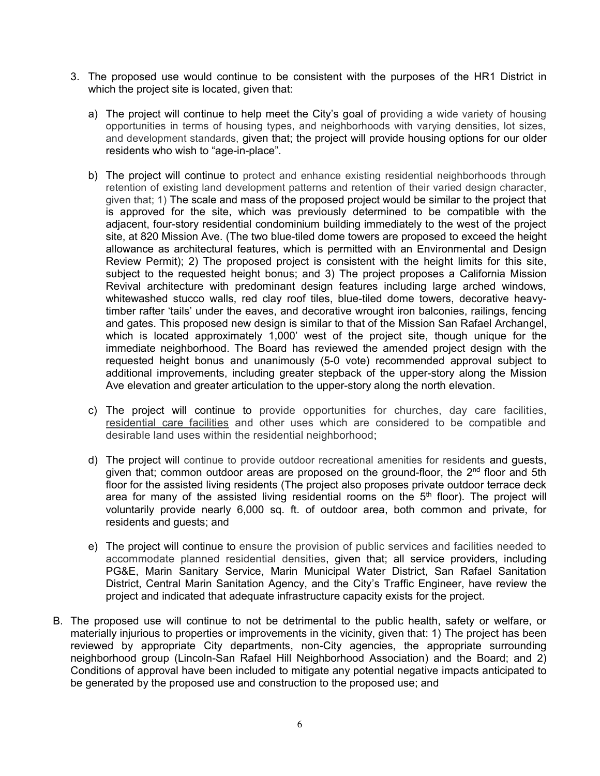- 3. The proposed use would continue to be consistent with the purposes of the HR1 District in which the project site is located, given that:
	- a) The project will continue to help meet the City's goal of providing a wide variety of housing opportunities in terms of housing types, and neighborhoods with varying densities, lot sizes, and development standards, given that; the project will provide housing options for our older residents who wish to "age-in-place".
	- b) The project will continue to protect and enhance existing residential neighborhoods through retention of existing land development patterns and retention of their varied design character, given that; 1) The scale and mass of the proposed project would be similar to the project that is approved for the site, which was previously determined to be compatible with the adjacent, four-story residential condominium building immediately to the west of the project site, at 820 Mission Ave. (The two blue-tiled dome towers are proposed to exceed the height allowance as architectural features, which is permitted with an Environmental and Design Review Permit); 2) The proposed project is consistent with the height limits for this site, subiect to the requested height bonus; and 3) The project proposes a California Mission Revival architecture with predominant design features including large arched windows, whitewashed stucco walls, red clay roof tiles, blue-tiled dome towers, decorative heavytimber rafter 'tails' under the eaves, and decorative wrought iron balconies, railings, fencing and gates. This proposed new design is similar to that of the Mission San Rafael Archangel, which is located approximately 1,000' west of the project site, though unique for the immediate neighborhood. The Board has reviewed the amended project design with the requested height bonus and unanimously (5-0 vote) recommended approval subject to additional improvements, including greater stepback of the upper-story along the Mission Ave elevation and greater articulation to the upper-story along the north elevation.
	- c) The project will continue to provide opportunities for churches, day care facilities, residential care facilities and other uses which are considered to be compatible and desirable land uses within the residential neighborhood;
	- d) The project will continue to provide outdoor recreational amenities for residents and guests, given that; common outdoor areas are proposed on the ground-floor, the  $2<sup>nd</sup>$  floor and 5th floor for the assisted living residents (The project also proposes private outdoor terrace deck area for many of the assisted living residential rooms on the  $5<sup>th</sup>$  floor). The project will voluntarily provide nearly 6,000 sq. ft. of outdoor area, both common and private, for residents and guests; and
	- e) The project will continue to ensure the provision of public services and facilities needed to accommodate planned residential densities, given that; all service providers, including PG&E, Marin Sanitary Service, Marin Municipal Water District, San Rafael Sanitation District, Central Marin Sanitation Agency, and the City's Traffic Engineer, have review the project and indicated that adequate infrastructure capacity exists for the project.
- B. The proposed use will continue to not be detrimental to the public health, safety or welfare, or materially injurious to properties or improvements in the vicinity, given that: 1) The project has been reviewed by appropriate City departments, non-City agencies, the appropriate surrounding neighborhood group (Lincoln-San Rafael Hill Neighborhood Association) and the Board; and 2) Conditions of approval have been included to mitigate any potential negative impacts anticipated to be generated by the proposed use and construction to the proposed use; and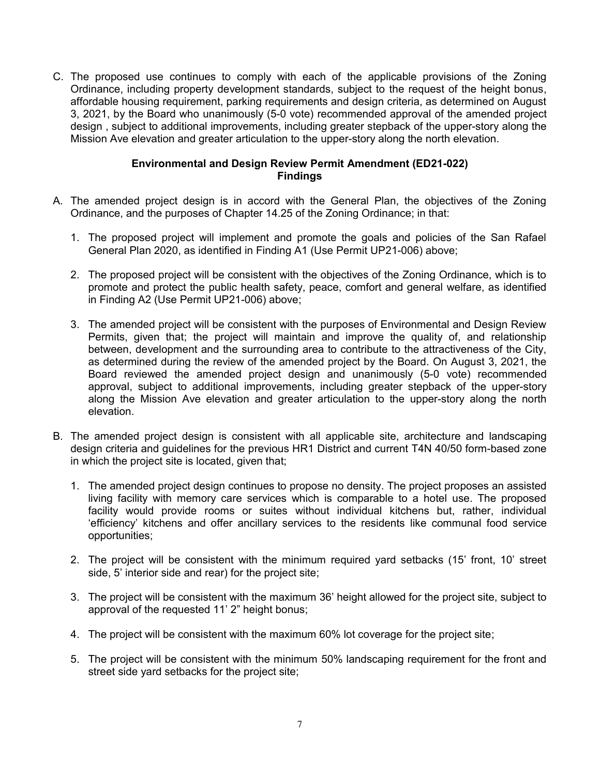C. The proposed use continues to comply with each of the applicable provisions of the Zoning Ordinance, including property development standards, subject to the request of the height bonus, affordable housing requirement, parking requirements and design criteria, as determined on August 3, 2021, by the Board who unanimously (5-0 vote) recommended approval of the amended project design , subject to additional improvements, including greater stepback of the upper-story along the Mission Ave elevation and greater articulation to the upper-story along the north elevation.

## **Environmental and Design Review Permit Amendment (ED21-022) Findings**

- A. The amended project design is in accord with the General Plan, the objectives of the Zoning Ordinance, and the purposes of Chapter 14.25 of the Zoning Ordinance; in that:
	- 1. The proposed project will implement and promote the goals and policies of the San Rafael General Plan 2020, as identified in Finding A1 (Use Permit UP21-006) above;
	- 2. The proposed project will be consistent with the objectives of the Zoning Ordinance, which is to promote and protect the public health safety, peace, comfort and general welfare, as identified in Finding A2 (Use Permit UP21-006) above;
	- 3. The amended project will be consistent with the purposes of Environmental and Design Review Permits, given that; the project will maintain and improve the quality of, and relationship between, development and the surrounding area to contribute to the attractiveness of the City, as determined during the review of the amended project by the Board. On August 3, 2021, the Board reviewed the amended project design and unanimously (5-0 vote) recommended approval, subject to additional improvements, including greater stepback of the upper-story along the Mission Ave elevation and greater articulation to the upper-story along the north elevation.
- B. The amended project design is consistent with all applicable site, architecture and landscaping design criteria and guidelines for the previous HR1 District and current T4N 40/50 form-based zone in which the project site is located, given that;
	- 1. The amended project design continues to propose no density. The project proposes an assisted living facility with memory care services which is comparable to a hotel use. The proposed facility would provide rooms or suites without individual kitchens but, rather, individual 'efficiency' kitchens and offer ancillary services to the residents like communal food service opportunities;
	- 2. The project will be consistent with the minimum required yard setbacks (15' front, 10' street side, 5' interior side and rear) for the project site;
	- 3. The project will be consistent with the maximum 36' height allowed for the project site, subject to approval of the requested 11' 2" height bonus;
	- 4. The project will be consistent with the maximum 60% lot coverage for the project site;
	- 5. The project will be consistent with the minimum 50% landscaping requirement for the front and street side yard setbacks for the project site;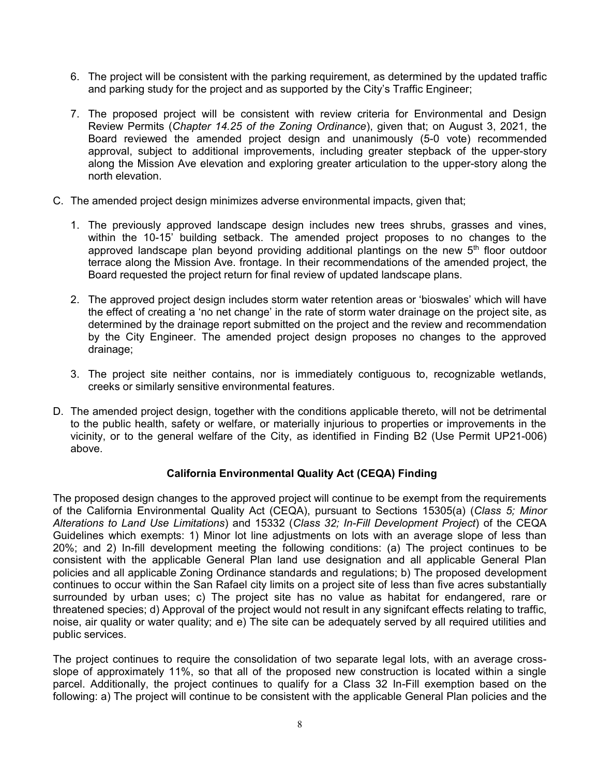- 6. The project will be consistent with the parking requirement, as determined by the updated traffic and parking study for the project and as supported by the City's Traffic Engineer;
- 7. The proposed project will be consistent with review criteria for Environmental and Design Review Permits (*Chapter 14.25 of the Zoning Ordinance*), given that; on August 3, 2021, the Board reviewed the amended project design and unanimously (5-0 vote) recommended approval, subject to additional improvements, including greater stepback of the upper-story along the Mission Ave elevation and exploring greater articulation to the upper-story along the north elevation.
- C. The amended project design minimizes adverse environmental impacts, given that;
	- 1. The previously approved landscape design includes new trees shrubs, grasses and vines, within the 10-15' building setback. The amended project proposes to no changes to the approved landscape plan beyond providing additional plantings on the new  $5<sup>th</sup>$  floor outdoor terrace along the Mission Ave. frontage. In their recommendations of the amended project, the Board requested the project return for final review of updated landscape plans.
	- 2. The approved project design includes storm water retention areas or 'bioswales' which will have the effect of creating a 'no net change' in the rate of storm water drainage on the project site, as determined by the drainage report submitted on the project and the review and recommendation by the City Engineer. The amended project design proposes no changes to the approved drainage;
	- 3. The project site neither contains, nor is immediately contiguous to, recognizable wetlands, creeks or similarly sensitive environmental features.
- D. The amended project design, together with the conditions applicable thereto, will not be detrimental to the public health, safety or welfare, or materially injurious to properties or improvements in the vicinity, or to the general welfare of the City, as identified in Finding B2 (Use Permit UP21-006) above.

## **California Environmental Quality Act (CEQA) Finding**

The proposed design changes to the approved project will continue to be exempt from the requirements of the California Environmental Quality Act (CEQA), pursuant to Sections 15305(a) (*Class 5; Minor Alterations to Land Use Limitations*) and 15332 (*Class 32; In-Fill Development Project*) of the CEQA Guidelines which exempts: 1) Minor lot line adjustments on lots with an average slope of less than 20%; and 2) In-fill development meeting the following conditions: (a) The project continues to be consistent with the applicable General Plan land use designation and all applicable General Plan policies and all applicable Zoning Ordinance standards and regulations; b) The proposed development continues to occur within the San Rafael city limits on a project site of less than five acres substantially surrounded by urban uses; c) The project site has no value as habitat for endangered, rare or threatened species; d) Approval of the project would not result in any signifcant effects relating to traffic, noise, air quality or water quality; and e) The site can be adequately served by all required utilities and public services.

The project continues to require the consolidation of two separate legal lots, with an average crossslope of approximately 11%, so that all of the proposed new construction is located within a single parcel. Additionally, the project continues to qualify for a Class 32 In-Fill exemption based on the following: a) The project will continue to be consistent with the applicable General Plan policies and the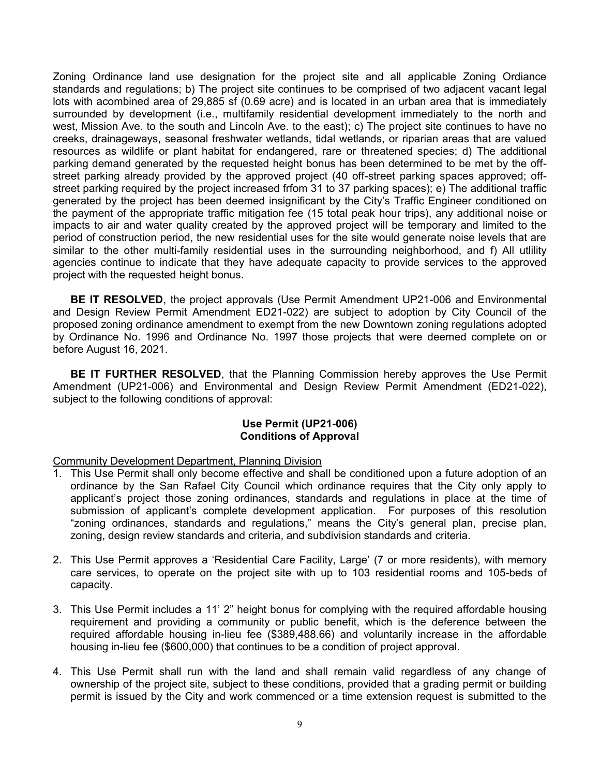Zoning Ordinance land use designation for the project site and all applicable Zoning Ordiance standards and regulations; b) The project site continues to be comprised of two adjacent vacant legal lots with acombined area of 29,885 sf (0.69 acre) and is located in an urban area that is immediately surrounded by development (i.e., multifamily residential development immediately to the north and west, Mission Ave. to the south and Lincoln Ave. to the east); c) The project site continues to have no creeks, drainageways, seasonal freshwater wetlands, tidal wetlands, or riparian areas that are valued resources as wildlife or plant habitat for endangered, rare or threatened species; d) The additional parking demand generated by the requested height bonus has been determined to be met by the offstreet parking already provided by the approved project (40 off-street parking spaces approved; offstreet parking required by the project increased frfom 31 to 37 parking spaces); e) The additional traffic generated by the project has been deemed insignificant by the City's Traffic Engineer conditioned on the payment of the appropriate traffic mitigation fee (15 total peak hour trips), any additional noise or impacts to air and water quality created by the approved project will be temporary and limited to the period of construction period, the new residential uses for the site would generate noise levels that are similar to the other multi-family residential uses in the surrounding neighborhood, and f) All utlility agencies continue to indicate that they have adequate capacity to provide services to the approved project with the requested height bonus.

**BE IT RESOLVED**, the project approvals (Use Permit Amendment UP21-006 and Environmental and Design Review Permit Amendment ED21-022) are subject to adoption by City Council of the proposed zoning ordinance amendment to exempt from the new Downtown zoning regulations adopted by Ordinance No. 1996 and Ordinance No. 1997 those projects that were deemed complete on or before August 16, 2021.

**BE IT FURTHER RESOLVED**, that the Planning Commission hereby approves the Use Permit Amendment (UP21-006) and Environmental and Design Review Permit Amendment (ED21-022), subject to the following conditions of approval:

#### **Use Permit (UP21-006) Conditions of Approval**

Community Development Department, Planning Division

- 1. This Use Permit shall only become effective and shall be conditioned upon a future adoption of an ordinance by the San Rafael City Council which ordinance requires that the City only apply to applicant's project those zoning ordinances, standards and regulations in place at the time of submission of applicant's complete development application. For purposes of this resolution "zoning ordinances, standards and regulations," means the City's general plan, precise plan, zoning, design review standards and criteria, and subdivision standards and criteria.
- 2. This Use Permit approves a 'Residential Care Facility, Large' (7 or more residents), with memory care services, to operate on the project site with up to 103 residential rooms and 105-beds of capacity.
- 3. This Use Permit includes a 11' 2" height bonus for complying with the required affordable housing requirement and providing a community or public benefit, which is the deference between the required affordable housing in-lieu fee (\$389,488.66) and voluntarily increase in the affordable housing in-lieu fee (\$600,000) that continues to be a condition of project approval.
- 4. This Use Permit shall run with the land and shall remain valid regardless of any change of ownership of the project site, subject to these conditions, provided that a grading permit or building permit is issued by the City and work commenced or a time extension request is submitted to the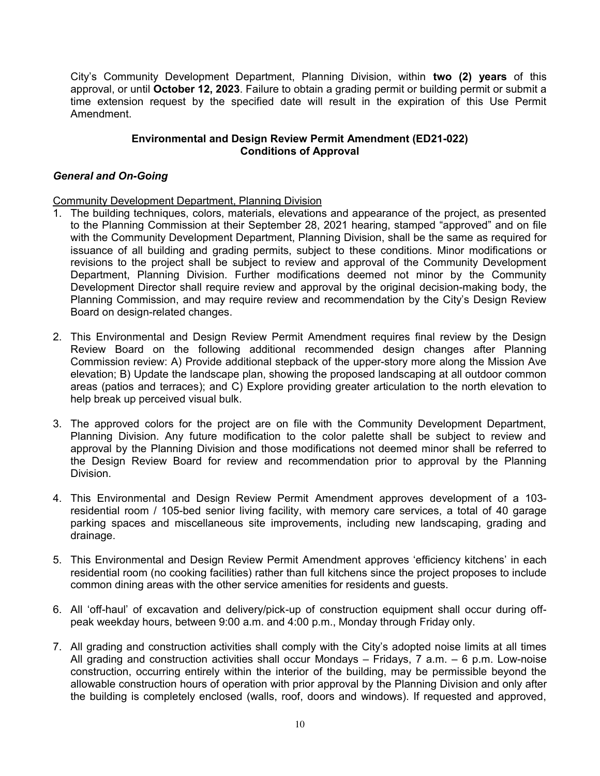City's Community Development Department, Planning Division, within **two (2) years** of this approval, or until **October 12, 2023**. Failure to obtain a grading permit or building permit or submit a time extension request by the specified date will result in the expiration of this Use Permit Amendment.

## **Environmental and Design Review Permit Amendment (ED21-022) Conditions of Approval**

#### *General and On-Going*

Community Development Department, Planning Division

- 1. The building techniques, colors, materials, elevations and appearance of the project, as presented to the Planning Commission at their September 28, 2021 hearing, stamped "approved" and on file with the Community Development Department, Planning Division, shall be the same as required for issuance of all building and grading permits, subject to these conditions. Minor modifications or revisions to the project shall be subject to review and approval of the Community Development Department, Planning Division. Further modifications deemed not minor by the Community Development Director shall require review and approval by the original decision-making body, the Planning Commission, and may require review and recommendation by the City's Design Review Board on design-related changes.
- 2. This Environmental and Design Review Permit Amendment requires final review by the Design Review Board on the following additional recommended design changes after Planning Commission review: A) Provide additional stepback of the upper-story more along the Mission Ave elevation; B) Update the landscape plan, showing the proposed landscaping at all outdoor common areas (patios and terraces); and C) Explore providing greater articulation to the north elevation to help break up perceived visual bulk.
- 3. The approved colors for the project are on file with the Community Development Department, Planning Division. Any future modification to the color palette shall be subject to review and approval by the Planning Division and those modifications not deemed minor shall be referred to the Design Review Board for review and recommendation prior to approval by the Planning Division.
- 4. This Environmental and Design Review Permit Amendment approves development of a 103 residential room / 105-bed senior living facility, with memory care services, a total of 40 garage parking spaces and miscellaneous site improvements, including new landscaping, grading and drainage.
- 5. This Environmental and Design Review Permit Amendment approves 'efficiency kitchens' in each residential room (no cooking facilities) rather than full kitchens since the project proposes to include common dining areas with the other service amenities for residents and guests.
- 6. All 'off-haul' of excavation and delivery/pick-up of construction equipment shall occur during offpeak weekday hours, between 9:00 a.m. and 4:00 p.m., Monday through Friday only.
- 7. All grading and construction activities shall comply with the City's adopted noise limits at all times All grading and construction activities shall occur Mondays – Fridays, 7 a.m. – 6 p.m. Low-noise construction, occurring entirely within the interior of the building, may be permissible beyond the allowable construction hours of operation with prior approval by the Planning Division and only after the building is completely enclosed (walls, roof, doors and windows). If requested and approved,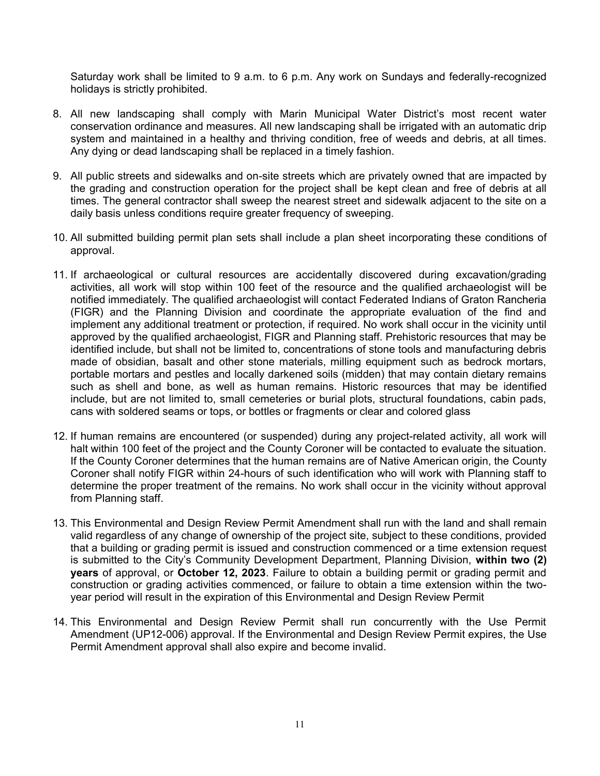Saturday work shall be limited to 9 a.m. to 6 p.m. Any work on Sundays and federally-recognized holidays is strictly prohibited.

- 8. All new landscaping shall comply with Marin Municipal Water District's most recent water conservation ordinance and measures. All new landscaping shall be irrigated with an automatic drip system and maintained in a healthy and thriving condition, free of weeds and debris, at all times. Any dying or dead landscaping shall be replaced in a timely fashion.
- 9. All public streets and sidewalks and on-site streets which are privately owned that are impacted by the grading and construction operation for the project shall be kept clean and free of debris at all times. The general contractor shall sweep the nearest street and sidewalk adjacent to the site on a daily basis unless conditions require greater frequency of sweeping.
- 10. All submitted building permit plan sets shall include a plan sheet incorporating these conditions of approval.
- 11. If archaeological or cultural resources are accidentally discovered during excavation/grading activities, all work will stop within 100 feet of the resource and the qualified archaeologist will be notified immediately. The qualified archaeologist will contact Federated Indians of Graton Rancheria (FIGR) and the Planning Division and coordinate the appropriate evaluation of the find and implement any additional treatment or protection, if required. No work shall occur in the vicinity until approved by the qualified archaeologist, FIGR and Planning staff. Prehistoric resources that may be identified include, but shall not be limited to, concentrations of stone tools and manufacturing debris made of obsidian, basalt and other stone materials, milling equipment such as bedrock mortars, portable mortars and pestles and locally darkened soils (midden) that may contain dietary remains such as shell and bone, as well as human remains. Historic resources that may be identified include, but are not limited to, small cemeteries or burial plots, structural foundations, cabin pads, cans with soldered seams or tops, or bottles or fragments or clear and colored glass
- 12. If human remains are encountered (or suspended) during any project-related activity, all work will halt within 100 feet of the project and the County Coroner will be contacted to evaluate the situation. If the County Coroner determines that the human remains are of Native American origin, the County Coroner shall notify FIGR within 24-hours of such identification who will work with Planning staff to determine the proper treatment of the remains. No work shall occur in the vicinity without approval from Planning staff.
- 13. This Environmental and Design Review Permit Amendment shall run with the land and shall remain valid regardless of any change of ownership of the project site, subject to these conditions, provided that a building or grading permit is issued and construction commenced or a time extension request is submitted to the City's Community Development Department, Planning Division, **within two (2) years** of approval, or **October 12, 2023**. Failure to obtain a building permit or grading permit and construction or grading activities commenced, or failure to obtain a time extension within the twoyear period will result in the expiration of this Environmental and Design Review Permit
- 14. This Environmental and Design Review Permit shall run concurrently with the Use Permit Amendment (UP12-006) approval. If the Environmental and Design Review Permit expires, the Use Permit Amendment approval shall also expire and become invalid.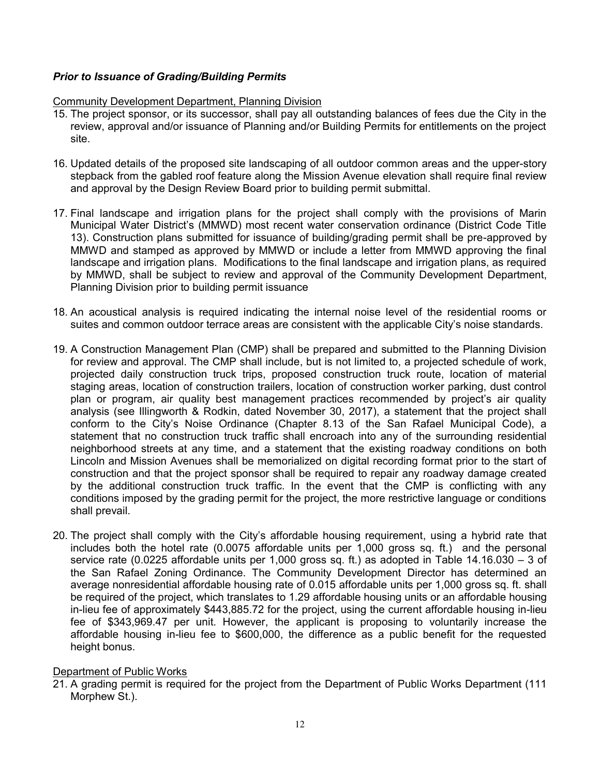# *Prior to Issuance of Grading/Building Permits*

## Community Development Department, Planning Division

- 15. The project sponsor, or its successor, shall pay all outstanding balances of fees due the City in the review, approval and/or issuance of Planning and/or Building Permits for entitlements on the project site.
- 16. Updated details of the proposed site landscaping of all outdoor common areas and the upper-story stepback from the gabled roof feature along the Mission Avenue elevation shall require final review and approval by the Design Review Board prior to building permit submittal.
- 17. Final landscape and irrigation plans for the project shall comply with the provisions of Marin Municipal Water District's (MMWD) most recent water conservation ordinance (District Code Title 13). Construction plans submitted for issuance of building/grading permit shall be pre-approved by MMWD and stamped as approved by MMWD or include a letter from MMWD approving the final landscape and irrigation plans. Modifications to the final landscape and irrigation plans, as required by MMWD, shall be subject to review and approval of the Community Development Department, Planning Division prior to building permit issuance
- 18. An acoustical analysis is required indicating the internal noise level of the residential rooms or suites and common outdoor terrace areas are consistent with the applicable City's noise standards.
- 19. A Construction Management Plan (CMP) shall be prepared and submitted to the Planning Division for review and approval. The CMP shall include, but is not limited to, a proiected schedule of work. projected daily construction truck trips, proposed construction truck route, location of material staging areas, location of construction trailers, location of construction worker parking, dust control plan or program, air quality best management practices recommended by project's air quality analysis (see Illingworth & Rodkin, dated November 30, 2017), a statement that the project shall conform to the City's Noise Ordinance (Chapter 8.13 of the San Rafael Municipal Code), a statement that no construction truck traffic shall encroach into any of the surrounding residential neighborhood streets at any time, and a statement that the existing roadway conditions on both Lincoln and Mission Avenues shall be memorialized on digital recording format prior to the start of construction and that the project sponsor shall be required to repair any roadway damage created by the additional construction truck traffic. In the event that the CMP is conflicting with any conditions imposed by the grading permit for the project, the more restrictive language or conditions shall prevail.
- 20. The project shall comply with the City's affordable housing requirement, using a hybrid rate that includes both the hotel rate (0.0075 affordable units per 1,000 gross sq. ft.) and the personal service rate (0.0225 affordable units per 1,000 gross sq. ft.) as adopted in Table 14.16.030 – 3 of the San Rafael Zoning Ordinance. The Community Development Director has determined an average nonresidential affordable housing rate of 0.015 affordable units per 1,000 gross sq. ft. shall be required of the project, which translates to 1.29 affordable housing units or an affordable housing in-lieu fee of approximately \$443,885.72 for the project, using the current affordable housing in-lieu fee of \$343,969.47 per unit. However, the applicant is proposing to voluntarily increase the affordable housing in-lieu fee to \$600,000, the difference as a public benefit for the requested height bonus.

## Department of Public Works

21. A grading permit is required for the project from the Department of Public Works Department (111 Morphew St.).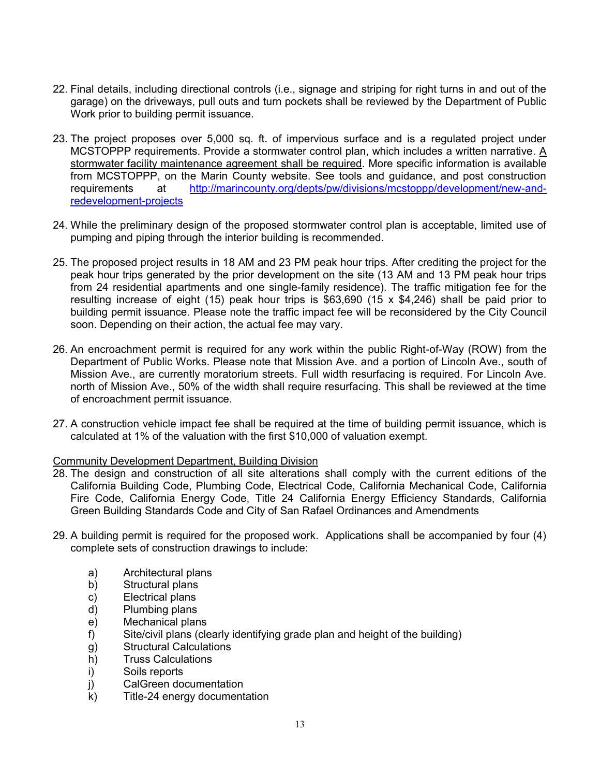- 22. Final details, including directional controls (i.e., signage and striping for right turns in and out of the garage) on the driveways, pull outs and turn pockets shall be reviewed by the Department of Public Work prior to building permit issuance.
- 23. The project proposes over 5,000 sq. ft. of impervious surface and is a regulated project under MCSTOPPP requirements. Provide a stormwater control plan, which includes a written narrative. A stormwater facility maintenance agreement shall be required. More specific information is available from MCSTOPPP, on the Marin County website. See tools and guidance, and post construction requirements at http://marincounty.org/depts/pw/divisions/mcstoppp/development/new-andredevelopment-projects
- 24. While the preliminary design of the proposed stormwater control plan is acceptable, limited use of pumping and piping through the interior building is recommended.
- 25. The proposed project results in 18 AM and 23 PM peak hour trips. After crediting the project for the peak hour trips generated by the prior development on the site (13 AM and 13 PM peak hour trips from 24 residential apartments and one single-family residence). The traffic mitigation fee for the resulting increase of eight (15) peak hour trips is \$63,690 (15 x \$4,246) shall be paid prior to building permit issuance. Please note the traffic impact fee will be reconsidered by the City Council soon. Depending on their action, the actual fee may vary.
- 26. An encroachment permit is required for any work within the public Right-of-Way (ROW) from the Department of Public Works. Please note that Mission Ave. and a portion of Lincoln Ave., south of Mission Ave., are currently moratorium streets. Full width resurfacing is required. For Lincoln Ave. north of Mission Ave., 50% of the width shall require resurfacing. This shall be reviewed at the time of encroachment permit issuance.
- 27. A construction vehicle impact fee shall be required at the time of building permit issuance, which is calculated at 1% of the valuation with the first \$10,000 of valuation exempt.

#### Community Development Department, Building Division

- 28. The design and construction of all site alterations shall comply with the current editions of the California Building Code, Plumbing Code, Electrical Code, California Mechanical Code, California Fire Code, California Energy Code, Title 24 California Energy Efficiency Standards, California Green Building Standards Code and City of San Rafael Ordinances and Amendments
- 29. A building permit is required for the proposed work. Applications shall be accompanied by four (4) complete sets of construction drawings to include:
	- a) Architectural plans
	- b) Structural plans
	- c) Electrical plans
	- d) Plumbing plans
	- e) Mechanical plans
	- f) Site/civil plans (clearly identifying grade plan and height of the building)
	- g) Structural Calculations
	- h) Truss Calculations
	- i) Soils reports
	- j) CalGreen documentation
	- k) Title-24 energy documentation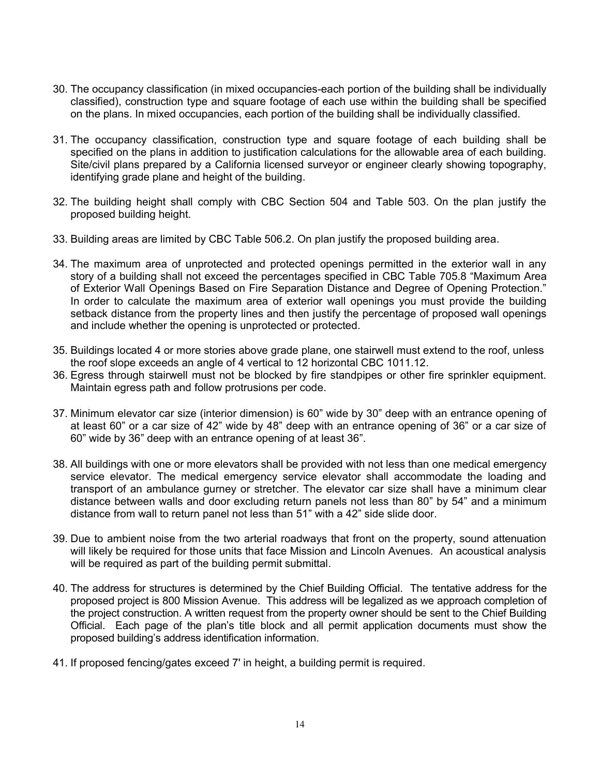- 30. The occupancy classification (in mixed occupancies-each portion of the building shall be individually classified), construction type and square footage of each use within the building shall be specified on the plans. In mixed occupancies, each portion of the building shall be individually classified.
- 31. The occupancy classification, construction type and square footage of each building shall be specified on the plans in addition to justification calculations for the allowable area of each building. Site/civil plans prepared by a California licensed surveyor or engineer clearly showing topography, identifying grade plane and height of the building.
- 32. The building height shall comply with CBC Section 504 and Table 503. On the plan justify the proposed building height.
- 33. Building areas are limited by CBC Table 506.2. On plan justify the proposed building area.
- 34. The maximum area of unprotected and protected openings permitted in the exterior wall in any story of a building shall not exceed the percentages specified in CBC Table 705.8 "Maximum Area of Exterior Wall Openings Based on Fire Separation Distance and Degree of Opening Protection." In order to calculate the maximum area of exterior wall openings you must provide the building setback distance from the property lines and then justify the percentage of proposed wall openings and include whether the opening is unprotected or protected.
- 35. Buildings located 4 or more stories above grade plane, one stairwell must extend to the roof, unless the roof slope exceeds an angle of 4 vertical to 12 horizontal CBC 1011.12.
- 36. Egress through stairwell must not be blocked by fire standpipes or other fire sprinkler equipment. Maintain egress path and follow protrusions per code.
- 37. Minimum elevator car size (interior dimension) is 60" wide by 30" deep with an entrance opening of at least 60" or a car size of 42" wide by 48" deep with an entrance opening of 36" or a car size of 60" wide by 36" deep with an entrance opening of at least 36".
- 38. All buildings with one or more elevators shall be provided with not less than one medical emergency service elevator. The medical emergency service elevator shall accommodate the loading and transport of an ambulance gurney or stretcher. The elevator car size shall have a minimum clear distance between walls and door excluding return panels not less than 80" by 54" and a minimum distance from wall to return panel not less than 51" with a 42" side slide door.
- 39. Due to ambient noise from the two arterial roadways that front on the property, sound attenuation will likely be required for those units that face Mission and Lincoln Avenues. An acoustical analysis will be required as part of the building permit submittal.
- 40. The address for structures is determined by the Chief Building Official. The tentative address for the proposed project is 800 Mission Avenue. This address will be legalized as we approach completion of the project construction. A written request from the property owner should be sent to the Chief Building Official. Each page of the plan's title block and all permit application documents must show the proposed building's address identification information.
- 41. If proposed fencing/gates exceed 7' in height, a building permit is required.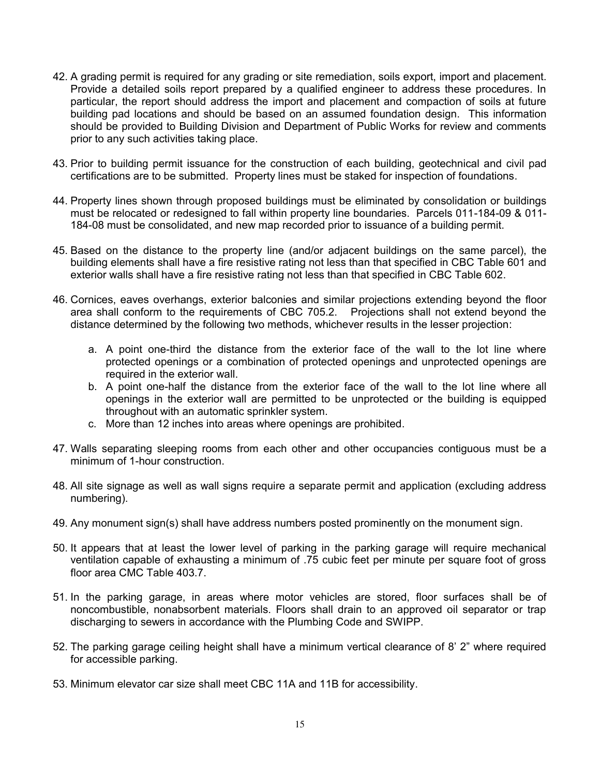- 42. A grading permit is required for any grading or site remediation, soils export, import and placement. Provide a detailed soils report prepared by a qualified engineer to address these procedures. In particular, the report should address the import and placement and compaction of soils at future building pad locations and should be based on an assumed foundation design. This information should be provided to Building Division and Department of Public Works for review and comments prior to any such activities taking place.
- 43. Prior to building permit issuance for the construction of each building, geotechnical and civil pad certifications are to be submitted. Property lines must be staked for inspection of foundations.
- 44. Property lines shown through proposed buildings must be eliminated by consolidation or buildings must be relocated or redesigned to fall within property line boundaries. Parcels 011-184-09 & 011- 184-08 must be consolidated, and new map recorded prior to issuance of a building permit.
- 45. Based on the distance to the property line (and/or adjacent buildings on the same parcel), the building elements shall have a fire resistive rating not less than that specified in CBC Table 601 and exterior walls shall have a fire resistive rating not less than that specified in CBC Table 602.
- 46. Cornices, eaves overhangs, exterior balconies and similar projections extending beyond the floor area shall conform to the requirements of CBC 705.2. Projections shall not extend beyond the distance determined by the following two methods, whichever results in the lesser projection:
	- a. A point one-third the distance from the exterior face of the wall to the lot line where protected openings or a combination of protected openings and unprotected openings are required in the exterior wall.
	- b. A point one-half the distance from the exterior face of the wall to the lot line where all openings in the exterior wall are permitted to be unprotected or the building is equipped throughout with an automatic sprinkler system.
	- c. More than 12 inches into areas where openings are prohibited.
- 47. Walls separating sleeping rooms from each other and other occupancies contiguous must be a minimum of 1-hour construction.
- 48. All site signage as well as wall signs require a separate permit and application (excluding address numbering).
- 49. Any monument sign(s) shall have address numbers posted prominently on the monument sign.
- 50. It appears that at least the lower level of parking in the parking garage will require mechanical ventilation capable of exhausting a minimum of .75 cubic feet per minute per square foot of gross floor area CMC Table 403.7
- 51. In the parking garage, in areas where motor vehicles are stored, floor surfaces shall be of noncombustible, nonabsorbent materials. Floors shall drain to an approved oil separator or trap discharging to sewers in accordance with the Plumbing Code and SWIPP.
- 52. The parking garage ceiling height shall have a minimum vertical clearance of 8' 2" where required for accessible parking.
- 53. Minimum elevator car size shall meet CBC 11A and 11B for accessibility.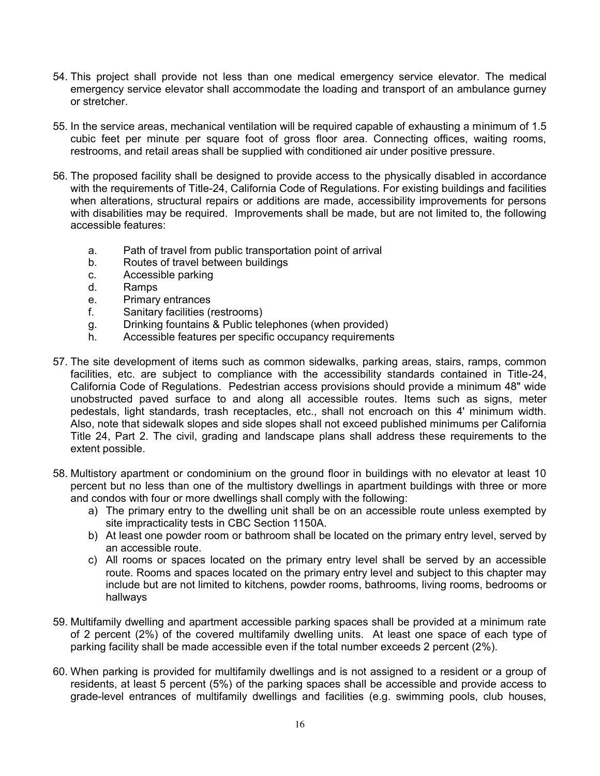- 54. This project shall provide not less than one medical emergency service elevator. The medical emergency service elevator shall accommodate the loading and transport of an ambulance gurney or stretcher.
- 55. In the service areas, mechanical ventilation will be required capable of exhausting a minimum of 1.5 cubic feet per minute per square foot of gross floor area. Connecting offices, waiting rooms, restrooms, and retail areas shall be supplied with conditioned air under positive pressure.
- 56. The proposed facility shall be designed to provide access to the physically disabled in accordance with the requirements of Title-24, California Code of Regulations. For existing buildings and facilities when alterations, structural repairs or additions are made, accessibility improvements for persons with disabilities may be required. Improvements shall be made, but are not limited to, the following accessible features:
	- a. Path of travel from public transportation point of arrival
	- b. Routes of travel between buildings
	- c. Accessible parking
	- d. Ramps
	- e. Primary entrances
	- f. Sanitary facilities (restrooms)
	- g. Drinking fountains & Public telephones (when provided)
	- h. Accessible features per specific occupancy requirements
- 57. The site development of items such as common sidewalks, parking areas, stairs, ramps, common facilities, etc. are subject to compliance with the accessibility standards contained in Title-24, California Code of Regulations. Pedestrian access provisions should provide a minimum 48" wide unobstructed paved surface to and along all accessible routes. Items such as signs, meter pedestals, light standards, trash receptacles, etc., shall not encroach on this 4' minimum width. Also, note that sidewalk slopes and side slopes shall not exceed published minimums per California Title 24, Part 2. The civil, grading and landscape plans shall address these requirements to the extent possible.
- 58. Multistory apartment or condominium on the ground floor in buildings with no elevator at least 10 percent but no less than one of the multistory dwellings in apartment buildings with three or more and condos with four or more dwellings shall comply with the following:
	- a) The primary entry to the dwelling unit shall be on an accessible route unless exempted by site impracticality tests in CBC Section 1150A.
	- b) At least one powder room or bathroom shall be located on the primary entry level, served by an accessible route.
	- c) All rooms or spaces located on the primary entry level shall be served by an accessible route. Rooms and spaces located on the primary entry level and subject to this chapter may include but are not limited to kitchens, powder rooms, bathrooms, living rooms, bedrooms or hallways
- 59. Multifamily dwelling and apartment accessible parking spaces shall be provided at a minimum rate of 2 percent (2%) of the covered multifamily dwelling units. At least one space of each type of parking facility shall be made accessible even if the total number exceeds 2 percent (2%).
- 60. When parking is provided for multifamily dwellings and is not assigned to a resident or a group of residents, at least 5 percent (5%) of the parking spaces shall be accessible and provide access to grade-level entrances of multifamily dwellings and facilities (e.g. swimming pools, club houses,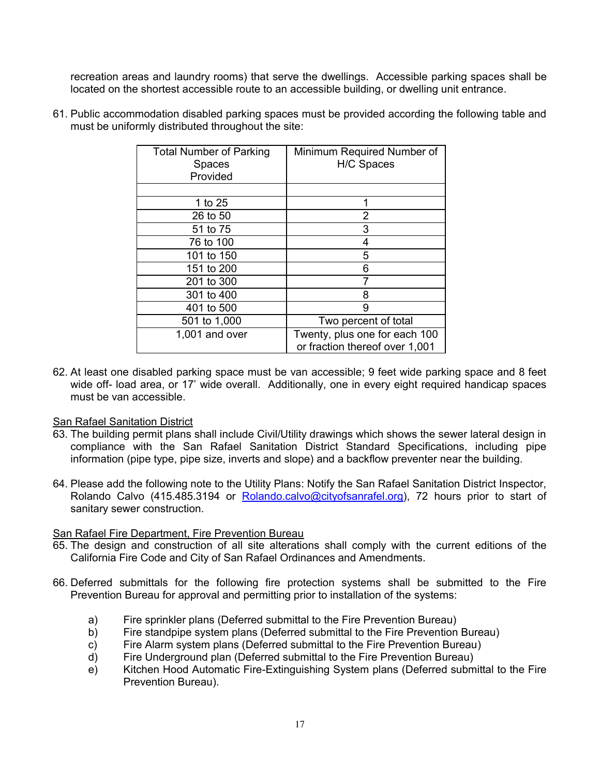recreation areas and laundry rooms) that serve the dwellings. Accessible parking spaces shall be located on the shortest accessible route to an accessible building, or dwelling unit entrance.

| <b>Total Number of Parking</b><br><b>Spaces</b><br>Provided | Minimum Required Number of<br>H/C Spaces                        |
|-------------------------------------------------------------|-----------------------------------------------------------------|
|                                                             |                                                                 |
| 1 to 25                                                     | 1                                                               |
| 26 to 50                                                    | 2                                                               |
| 51 to 75                                                    | 3                                                               |
| 76 to 100                                                   | 4                                                               |
| 101 to 150                                                  | 5                                                               |
| 151 to 200                                                  | 6                                                               |
| 201 to 300                                                  |                                                                 |
| 301 to 400                                                  | 8                                                               |
| 401 to 500                                                  | 9                                                               |
| 501 to 1,000                                                | Two percent of total                                            |
| 1,001 and over                                              | Twenty, plus one for each 100<br>or fraction thereof over 1,001 |

61. Public accommodation disabled parking spaces must be provided according the following table and must be uniformly distributed throughout the site:

62. At least one disabled parking space must be van accessible; 9 feet wide parking space and 8 feet wide off- load area, or 17' wide overall. Additionally, one in every eight required handicap spaces must be van accessible.

## San Rafael Sanitation District

- 63. The building permit plans shall include Civil/Utility drawings which shows the sewer lateral design in compliance with the San Rafael Sanitation District Standard Specifications, including pipe information (pipe type, pipe size, inverts and slope) and a backflow preventer near the building.
- 64. Please add the following note to the Utility Plans: Notify the San Rafael Sanitation District Inspector, Rolando Calvo (415.485.3194 or Rolando.calvo@cityofsanrafel.org), 72 hours prior to start of sanitary sewer construction.

## San Rafael Fire Department, Fire Prevention Bureau

- 65. The design and construction of all site alterations shall comply with the current editions of the California Fire Code and City of San Rafael Ordinances and Amendments.
- 66. Deferred submittals for the following fire protection systems shall be submitted to the Fire Prevention Bureau for approval and permitting prior to installation of the systems:
	- a) Fire sprinkler plans (Deferred submittal to the Fire Prevention Bureau)
	- b) Fire standpipe system plans (Deferred submittal to the Fire Prevention Bureau)
	- c) Fire Alarm system plans (Deferred submittal to the Fire Prevention Bureau)
	- d) Fire Underground plan (Deferred submittal to the Fire Prevention Bureau)
	- e) Kitchen Hood Automatic Fire-Extinguishing System plans (Deferred submittal to the Fire Prevention Bureau).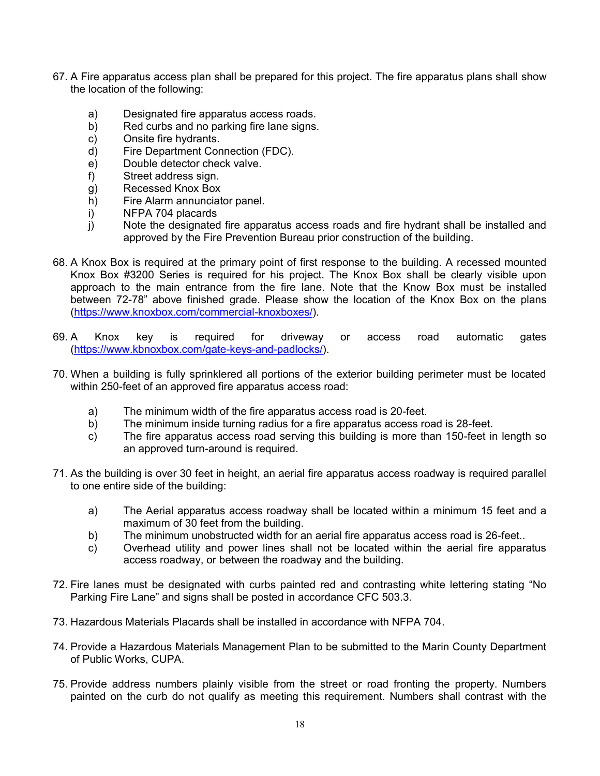- 67. A Fire apparatus access plan shall be prepared for this project. The fire apparatus plans shall show the location of the following:
	- a) Designated fire apparatus access roads.
	- b) Red curbs and no parking fire lane signs.
	- c) Onsite fire hydrants.
	- d) Fire Department Connection (FDC).
	- e) Double detector check valve.
	- f) Street address sign.
	- g) Recessed Knox Box
	- h) Fire Alarm annunciator panel.
	- i) NFPA 704 placards
	- j) Note the designated fire apparatus access roads and fire hydrant shall be installed and approved by the Fire Prevention Bureau prior construction of the building.
- 68. A Knox Box is required at the primary point of first response to the building. A recessed mounted Knox Box #3200 Series is required for his project. The Knox Box shall be clearly visible upon approach to the main entrance from the fire lane. Note that the Know Box must be installed between 72-78" above finished grade. Please show the location of the Knox Box on the plans (https://www.knoxbox.com/commercial-knoxboxes/).
- 69. A Knox key is required for driveway or access road automatic gates (https://www.kbnoxbox.com/gate-keys-and-padlocks/).
- 70. When a building is fully sprinklered all portions of the exterior building perimeter must be located within 250-feet of an approved fire apparatus access road:
	- a) The minimum width of the fire apparatus access road is 20-feet.
	- b) The minimum inside turning radius for a fire apparatus access road is 28-feet.
	- c) The fire apparatus access road serving this building is more than 150-feet in length so an approved turn-around is required.
- 71. As the building is over 30 feet in height, an aerial fire apparatus access roadway is required parallel to one entire side of the building:
	- a) The Aerial apparatus access roadway shall be located within a minimum 15 feet and a maximum of 30 feet from the building.
	- b) The minimum unobstructed width for an aerial fire apparatus access road is 26-feet..
	- c) Overhead utility and power lines shall not be located within the aerial fire apparatus access roadway, or between the roadway and the building.
- 72. Fire lanes must be designated with curbs painted red and contrasting white lettering stating "No Parking Fire Lane" and signs shall be posted in accordance CFC 503.3.
- 73. Hazardous Materials Placards shall be installed in accordance with NFPA 704.
- 74. Provide a Hazardous Materials Management Plan to be submitted to the Marin County Department of Public Works, CUPA.
- 75. Provide address numbers plainly visible from the street or road fronting the property. Numbers painted on the curb do not qualify as meeting this requirement. Numbers shall contrast with the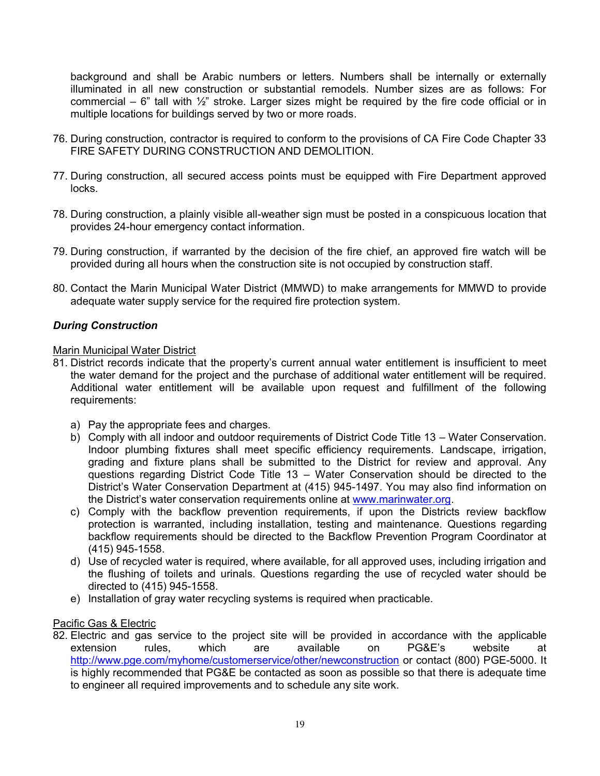background and shall be Arabic numbers or letters. Numbers shall be internally or externally illuminated in all new construction or substantial remodels. Number sizes are as follows: For commercial –  $6$ " tall with  $\frac{1}{2}$ " stroke. Larger sizes might be required by the fire code official or in multiple locations for buildings served by two or more roads.

- 76. During construction, contractor is required to conform to the provisions of CA Fire Code Chapter 33 FIRE SAFETY DURING CONSTRUCTION AND DEMOLITION.
- 77. During construction, all secured access points must be equipped with Fire Department approved locks.
- 78. During construction, a plainly visible all-weather sign must be posted in a conspicuous location that provides 24-hour emergency contact information.
- 79. During construction, if warranted by the decision of the fire chief, an approved fire watch will be provided during all hours when the construction site is not occupied by construction staff.
- 80. Contact the Marin Municipal Water District (MMWD) to make arrangements for MMWD to provide adequate water supply service for the required fire protection system.

# *During Construction*

#### Marin Municipal Water District

- 81. District records indicate that the property's current annual water entitlement is insufficient to meet the water demand for the project and the purchase of additional water entitlement will be required. Additional water entitlement will be available upon request and fulfillment of the following requirements:
	- a) Pay the appropriate fees and charges.
	- b) Comply with all indoor and outdoor requirements of District Code Title 13 Water Conservation. Indoor plumbing fixtures shall meet specific efficiency requirements. Landscape, irrigation, grading and fixture plans shall be submitted to the District for review and approval. Any questions regarding District Code Title 13 – Water Conservation should be directed to the District's Water Conservation Department at (415) 945-1497. You may also find information on the District's water conservation requirements online at www.marinwater.org.
	- c) Comply with the backflow prevention requirements, if upon the Districts review backflow protection is warranted, including installation, testing and maintenance. Questions regarding backflow requirements should be directed to the Backflow Prevention Program Coordinator at (415) 945-1558.
	- d) Use of recycled water is required, where available, for all approved uses, including irrigation and the flushing of toilets and urinals. Questions regarding the use of recycled water should be directed to (415) 945-1558.
	- e) Installation of gray water recycling systems is required when practicable.

## Pacific Gas & Electric

82. Electric and gas service to the project site will be provided in accordance with the applicable extension rules, which are available on PG&E's website at http://www.pge.com/myhome/customerservice/other/newconstruction or contact (800) PGE-5000. It is highly recommended that PG&E be contacted as soon as possible so that there is adequate time to engineer all required improvements and to schedule any site work.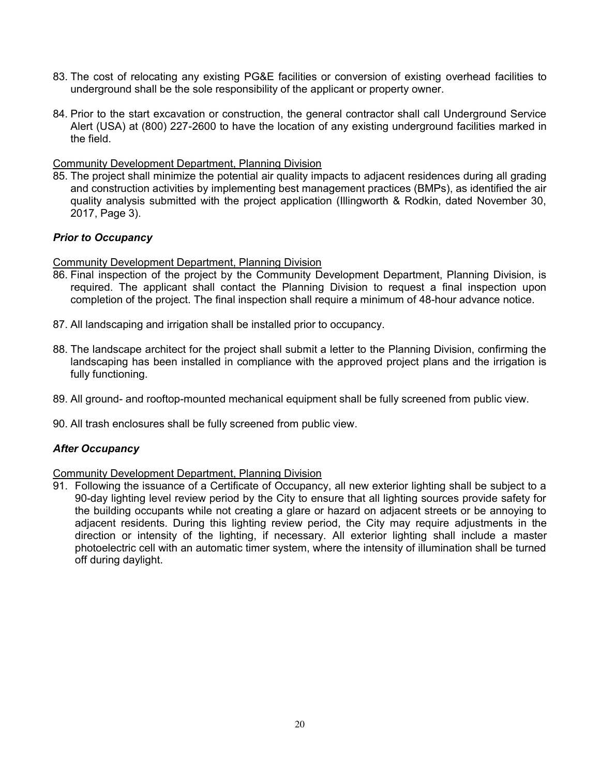- 83. The cost of relocating any existing PG&E facilities or conversion of existing overhead facilities to underground shall be the sole responsibility of the applicant or property owner.
- 84. Prior to the start excavation or construction, the general contractor shall call Underground Service Alert (USA) at (800) 227-2600 to have the location of any existing underground facilities marked in the field.

#### Community Development Department, Planning Division

85. The project shall minimize the potential air quality impacts to adjacent residences during all grading and construction activities by implementing best management practices (BMPs), as identified the air quality analysis submitted with the project application (Illingworth & Rodkin, dated November 30, 2017, Page 3).

## *Prior to Occupancy*

Community Development Department, Planning Division

- 86. Final inspection of the project by the Community Development Department, Planning Division, is required. The applicant shall contact the Planning Division to request a final inspection upon completion of the project. The final inspection shall require a minimum of 48-hour advance notice.
- 87. All landscaping and irrigation shall be installed prior to occupancy.
- 88. The landscape architect for the project shall submit a letter to the Planning Division, confirming the landscaping has been installed in compliance with the approved project plans and the irrigation is fully functioning.
- 89. All ground- and rooftop-mounted mechanical equipment shall be fully screened from public view.
- 90. All trash enclosures shall be fully screened from public view.

## *After Occupancy*

Community Development Department, Planning Division

91. Following the issuance of a Certificate of Occupancy, all new exterior lighting shall be subject to a 90-day lighting level review period by the City to ensure that all lighting sources provide safety for the building occupants while not creating a glare or hazard on adjacent streets or be annoying to adjacent residents. During this lighting review period, the City may require adjustments in the direction or intensity of the lighting, if necessary. All exterior lighting shall include a master photoelectric cell with an automatic timer system, where the intensity of illumination shall be turned off during daylight.